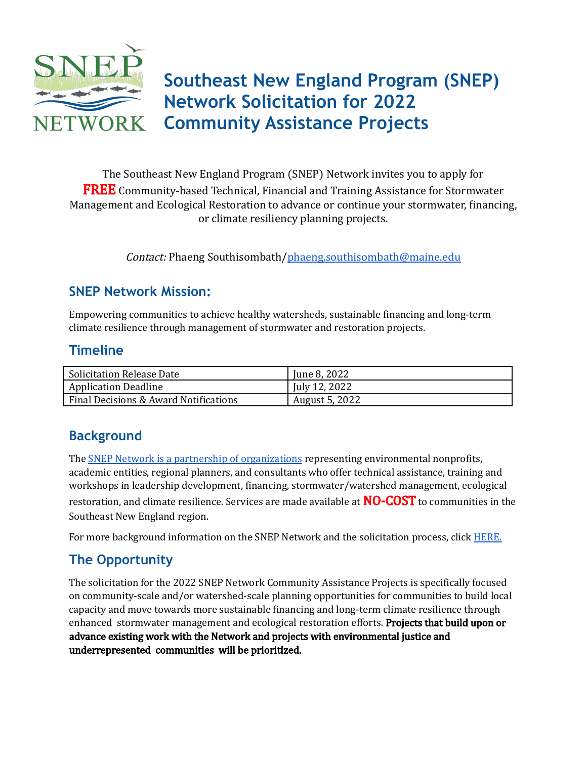

The Southeast New England Program (SNEP) Network invites you to apply for FREE Community-based Technical, Financial and Training Assistance for Stormwater Management and Ecological Restoration to advance or continue your stormwater, financing,

or climate resiliency planning projects.

Contact: Phaeng Southisombath/[phaeng.southisombath@maine.edu](mailto:phaeng.southisombath@maine.edu)

# **SNEP Network Mission:**

Empowering communities to achieve healthy watersheds, sustainable financing and long-term climate resilience through management of stormwater and restoration projects.

#### **Timeline**

| <b>Solicitation Release Date</b>      | June 8, 2022   |
|---------------------------------------|----------------|
| Application Deadline                  | July 12, 2022  |
| Final Decisions & Award Notifications | August 5, 2022 |

# **Background**

The **SNEP Network is a partnership of [organizations](https://snepnetwork.org/snep-partners/)** representing environmental nonprofits, academic entities, regional planners, and consultants who offer technical assistance, training and workshops in leadership development, financing, stormwater/watershed management, ecological restoration, and climate resilience. Services are made available at **NO-COST** to communities in the Southeast New England region.

For more background information on the SNEP Network and the solicitation process, click [HERE.](https://snepnetwork.org/community-assistance-projects-round-3/)

# **The Opportunity**

The solicitation for the 2022 SNEP Network Community Assistance Projects is specifically focused on community-scale and/or watershed-scale planning opportunities for communities to build local capacity and move towards more sustainable financing and long-term climate resilience through enhanced stormwater management and ecological restoration efforts. **Projects that build upon or** advance existing work with the Network and projects with environmental justice and underrepresented communities will be prioritized.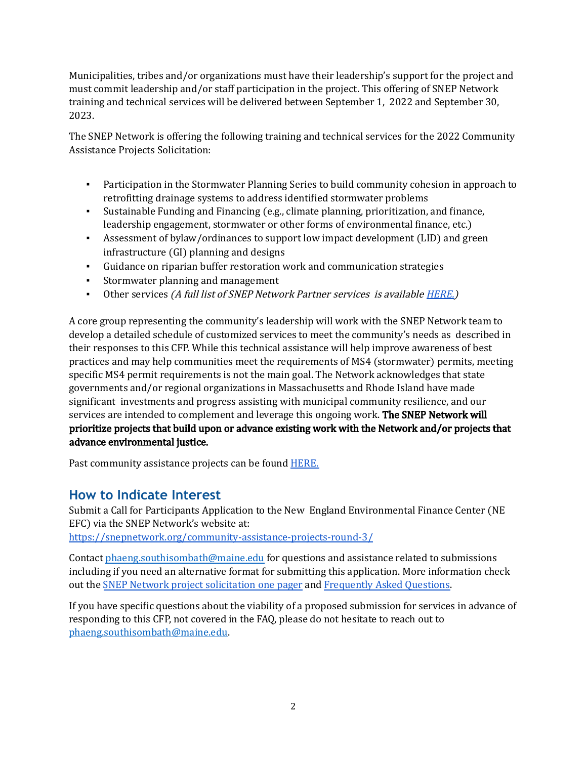Municipalities, tribes and/or organizations must have their leadership's support for the project and must commit leadership and/or staff participation in the project. This offering of SNEP Network training and technical services will be delivered between September 1, 2022 and September 30, 2023.

The SNEP Network is offering the following training and technical services for the 2022 Community Assistance Projects Solicitation:

- Participation in the Stormwater Planning Series to build community cohesion in approach to retrofitting drainage systems to address identified stormwater problems
- Sustainable Funding and Financing (e.g., climate planning, prioritization, and finance, leadership engagement, stormwater or other forms of environmental finance, etc.)
- Assessment of bylaw/ordinances to support low impact development (LID) and green infrastructure (GI) planning and designs
- Guidance on riparian buffer restoration work and communication strategies
- Stormwater planning and management
- Other services (A full list of SNEP Network Partner services is available [HERE.\)](https://snepnetwork.org/wp-content/uploads/2022/06/SNEP-Services-Matrix_Round-3-CFP.pdf)

A core group representing the community's leadership will work with the SNEP Network team to develop a detailed schedule of customized services to meet the community's needs as described in their responses to this CFP. While this technical assistance will help improve awareness of best practices and may help communities meet the requirements of MS4 (stormwater) permits, meeting specific MS4 permit requirements is not the main goal. The Network acknowledges that state governments and/or regional organizations in Massachusetts and Rhode Island have made significant investments and progress assisting with municipal community resilience, and our services are intended to complement and leverage this ongoing work. The SNEP Network will prioritize projects that build upon or advance existing work with the Network and/or projects that advance environmental justice.

Past community assistance projects can be found **HERE**.

# **How to Indicate Interest**

Submit a Call for Participants Application to the New England Environmental Finance Center (NE EFC) via the SNEP Network's website at:

<https://snepnetwork.org/community-assistance-projects-round-3/>

Contact phaeng.southisombath@maine.edu for questions and assistance related to submissions including if you need an alternative format for submitting this application. More information check out the SNEP Network project [solicitation](https://snepnetwork.org/wp-content/uploads/2022/06/SNEP-Network_One-Pager-1.pdf) one pager and [Frequently](https://snepnetwork.org/wp-content/uploads/2022/06/SNEP-Network_FAQ-1.pdf) Asked Questions.

If you have specific questions about the viability of a proposed submission for services in advance of responding to this CFP, not covered in the FAQ, please do not hesitate to reach out to phaeng.southisombath@maine.edu.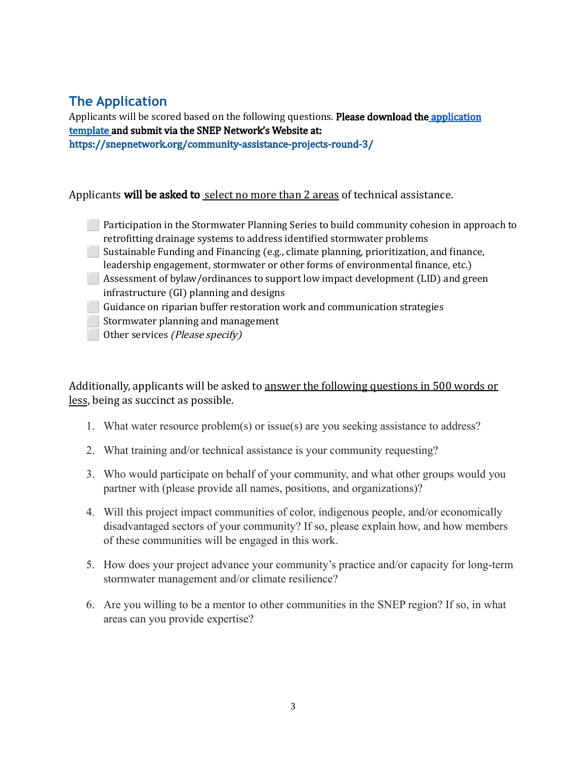# **The Application**

Applicants will be scored based on the following questions. Please download the [application](https://snepnetwork.org/community-assistance-projects-round-3/) [template](https://snepnetwork.org/community-assistance-projects-round-3/) and submit via the SNEP Network's Website at: https://snepnetwork.org/community-assistance-projects-round-3/

#### Applicants will be asked to select no more than 2 areas of technical assistance.

**Participation in the Stormwater Planning Series to build community cohesion in approach to** retrofitting drainage systems to address identified stormwater problems **Sustainable Funding and Financing (e.g., climate planning, prioritization, and finance,** leadership engagement, stormwater or other forms of environmental finance, etc.) ⬜ Assessment of bylaw/ordinances to support low impact development (LID) and green infrastructure (GI) planning and designs ⬜ Guidance on riparian buffer restoration work and communication strategies Stormwater planning and management Other services (Please specify)

Additionally, applicants will be asked to answer the following questions in 500 words or less, being as succinct as possible.

- 1. What water resource problem(s) or issue(s) are you seeking assistance to address?
- 2. What training and/or technical assistance is your community requesting?
- 3. Who would participate on behalf of your community, and what other groups would you partner with (please provide all names, positions, and organizations)?
- 4. Will this project impact communities of color, indigenous people, and/or economically disadvantaged sectors of your community? If so, please explain how, and how members of these communities will be engaged in this work.
- 5. How does your project advance your community's practice and/or capacity for long-term stormwater management and/or climate resilience?
- 6. Are you willing to be a mentor to other communities in the SNEP region? If so, in what areas can you provide expertise?